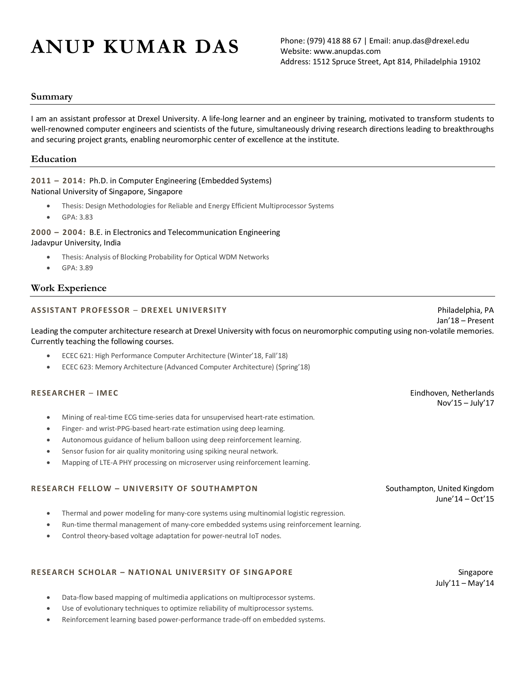# $ANDP KUMAR DAS$  Phone: (979) 418 88 67 | Email: anup.das@drexel.edu

Website: www.anupdas.com Address: 1512 Spruce Street, Apt 814, Philadelphia 19102

#### **Summary**

I am an assistant professor at Drexel University. A life-long learner and an engineer by training, motivated to transform students to well-renowned computer engineers and scientists of the future, simultaneously driving research directions leading to breakthroughs and securing project grants, enabling neuromorphic center of excellence at the institute.

#### **Education**

#### **2011 – 2014:** Ph.D. in Computer Engineering (Embedded Systems) National University of Singapore, Singapore

- Thesis: Design Methodologies for Reliable and Energy Efficient Multiprocessor Systems
- GPA: 3.83

#### **2000 – 2004:** B.E. in Electronics and Telecommunication Engineering Jadavpur University, India

- Thesis: Analysis of Blocking Probability for Optical WDM Networks
- GPA: 3.89

### **Work Experience**

#### **ASSISTANT PROFESSOR** – **DREXEL UNIVERSITY** Philadelphia, PA

Leading the computer architecture research at Drexel University with focus on neuromorphic computing using non-volatile memories. Currently teaching the following courses.

- ECEC 621: High Performance Computer Architecture (Winter'18, Fall'18)
- ECEC 623: Memory Architecture (Advanced Computer Architecture) (Spring'18)

#### **RESEARCHER** – **IMEC** Eindhoven, Netherlands

- Mining of real-time ECG time-series data for unsupervised heart-rate estimation.
- Finger- and wrist-PPG-based heart-rate estimation using deep learning.
- Autonomous guidance of helium balloon using deep reinforcement learning.
- Sensor fusion for air quality monitoring using spiking neural network.
- Mapping of LTE-A PHY processing on microserver using reinforcement learning.

#### **RESEARCH FELLOW – UNIVERSITY OF SOUTHAMPTON** Southampton, United Kingdom

- Thermal and power modeling for many-core systems using multinomial logistic regression.
- Run-time thermal management of many-core embedded systems using reinforcement learning.
- Control theory-based voltage adaptation for power-neutral IoT nodes.

#### **RESEARCH SCHOLAR – NATIONAL UNIVERSITY OF SINGAPORE** Singapore

- Data-flow based mapping of multimedia applications on multiprocessor systems.
- Use of evolutionary techniques to optimize reliability of multiprocessor systems.
- Reinforcement learning based power-performance trade-off on embedded systems.

July'11 – May'14

Nov'15 – July'17

Jan'18 – Present

June'14 – Oct'15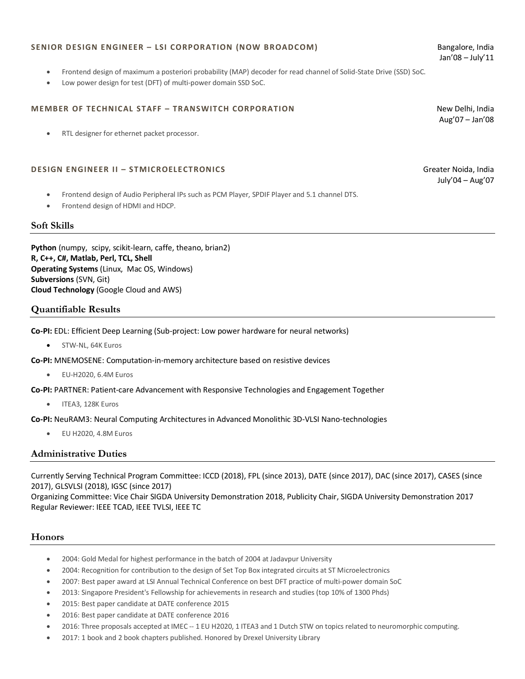#### **SENIOR DESIGN ENGINEER – LSI CORPORATION (NOW BROADCOM)** Bangalore, India

- Frontend design of maximum a posteriori probability (MAP) decoder for read channel of Solid-State Drive (SSD) SoC.
- Low power design for test (DFT) of multi-power domain SSD SoC.

#### **MEMBER OF TECHNICAL STAFF – TRANSWITCH CORPORATION** New Delhi, India

RTL designer for ethernet packet processor.

#### **DESIGN ENGINEER II – STMICROELECTRONICS** Greater Noida, India

- Frontend design of Audio Peripheral IPs such as PCM Player, SPDIF Player and 5.1 channel DTS.
- Frontend design of HDMI and HDCP.

#### **Soft Skills**

**Python** (numpy, scipy, scikit-learn, caffe, theano, brian2) **R, C++, C#, Matlab, Perl, TCL, Shell Operating Systems** (Linux, Mac OS, Windows) **Subversions** (SVN, Git) **Cloud Technology** (Google Cloud and AWS)

#### **Quantifiable Results**

**Co-PI:** EDL: Efficient Deep Learning (Sub-project: Low power hardware for neural networks)

• STW-NL, 64K Euros

**Co-PI:** MNEMOSENE: Computation-in-memory architecture based on resistive devices

• EU-H2020, 6.4M Euros

**Co-PI:** PARTNER: Patient-care Advancement with Responsive Technologies and Engagement Together

• ITEA3, 128K Euros

**Co-PI:** NeuRAM3: Neural Computing Architectures in Advanced Monolithic 3D-VLSI Nano-technologies

• EU H2020, 4.8M Euros

#### **Administrative Duties**

Currently Serving Technical Program Committee: ICCD (2018), FPL (since 2013), DATE (since 2017), DAC (since 2017), CASES (since 2017), GLSVLSI (2018), IGSC (since 2017)

Organizing Committee: Vice Chair SIGDA University Demonstration 2018, Publicity Chair, SIGDA University Demonstration 2017 Regular Reviewer: IEEE TCAD, IEEE TVLSI, IEEE TC

#### **Honors**

- 2004: Gold Medal for highest performance in the batch of 2004 at Jadavpur University
- 2004: Recognition for contribution to the design of Set Top Box integrated circuits at ST Microelectronics
- 2007: Best paper award at LSI Annual Technical Conference on best DFT practice of multi-power domain SoC
- 2013: Singapore President's Fellowship for achievements in research and studies (top 10% of 1300 Phds)
- 2015: Best paper candidate at DATE conference 2015
- 2016: Best paper candidate at DATE conference 2016
- 2016: Three proposals accepted at IMEC -- 1 EU H2020, 1 ITEA3 and 1 Dutch STW on topics related to neuromorphic computing.
- 2017: 1 book and 2 book chapters published. Honored by Drexel University Library

Jan'08 – July'11

Aug'07 – Jan'08

July'04 – Aug'07